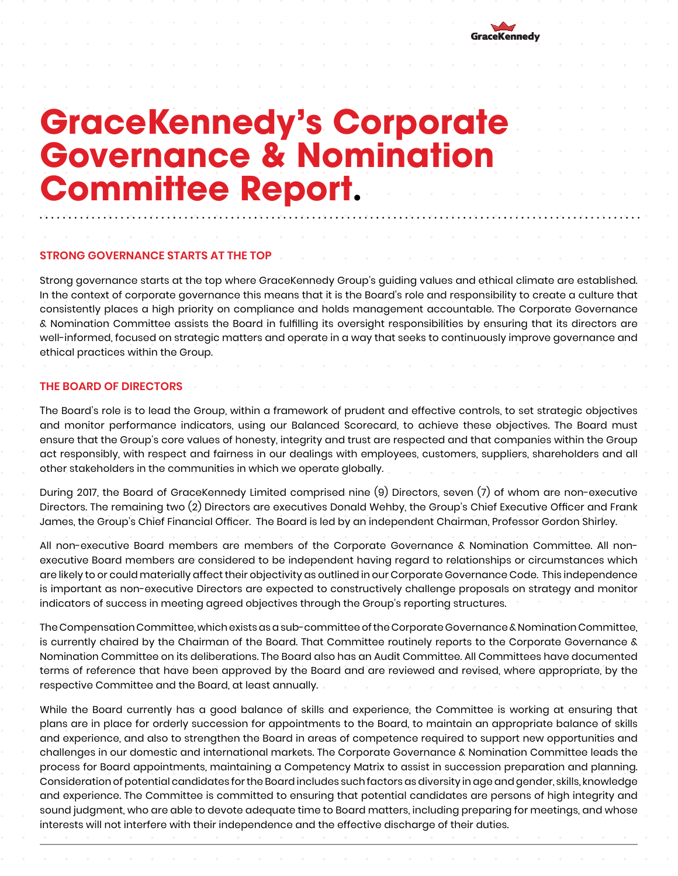

# **GraceKennedy's Corporate GraceKennedy's Corporate<br>Covernance & Nomination<br>Committee Report Committee Report.**

## **STRONG GOVERNANCE STARTS AT THE TOP**

Strong governance starts at the top where GraceKennedy Group's guiding values and ethical climate are established. In the context of corporate governance this means that it is the Board's role and responsibility to create a culture that consistently places a high priority on compliance and holds management accountable. The Corporate Governance & Nomination Committee assists the Board in fulfilling its oversight responsibilities by ensuring that its directors are well-informed, focused on strategic matters and operate in a way that seeks to continuously improve governance and ethical practices within the Group.

#### **THE BOARD OF DIRECTORS**

The Board's role is to lead the Group, within a framework of prudent and effective controls, to set strategic objectives and monitor performance indicators, using our Balanced Scorecard, to achieve these objectives. The Board must ensure that the Group's core values of honesty, integrity and trust are respected and that companies within the Group act responsibly, with respect and fairness in our dealings with employees, customers, suppliers, shareholders and all other stakeholders in the communities in which we operate globally.

During 2017, the Board of GraceKennedy Limited comprised nine (9) Directors, seven (7) of whom are non-executive Directors. The remaining two (2) Directors are executives Donald Wehby, the Group's Chief Executive Officer and Frank James, the Group's Chief Financial Officer. The Board is led by an independent Chairman, Professor Gordon Shirley.

All non-executive Board members are members of the Corporate Governance & Nomination Committee. All nonexecutive Board members are considered to be independent having regard to relationships or circumstances which are likely to or could materially affect their objectivity as outlined in our Corporate Governance Code. This independence is important as non-executive Directors are expected to constructively challenge proposals on strategy and monitor indicators of success in meeting agreed objectives through the Group's reporting structures.

The Compensation Committee, which exists as a sub-committee of the Corporate Governance & Nomination Committee, is currently chaired by the Chairman of the Board. That Committee routinely reports to the Corporate Governance & Nomination Committee on its deliberations. The Board also has an Audit Committee. All Committees have documented terms of reference that have been approved by the Board and are reviewed and revised, where appropriate, by the respective Committee and the Board, at least annually.

While the Board currently has a good balance of skills and experience, the Committee is working at ensuring that plans are in place for orderly succession for appointments to the Board, to maintain an appropriate balance of skills and experience, and also to strengthen the Board in areas of competence required to support new opportunities and challenges in our domestic and international markets. The Corporate Governance & Nomination Committee leads the process for Board appointments, maintaining a Competency Matrix to assist in succession preparation and planning. Consideration of potential candidates for the Board includes such factors as diversity in age and gender, skills, knowledge and experience. The Committee is committed to ensuring that potential candidates are persons of high integrity and sound judgment, who are able to devote adequate time to Board matters, including preparing for meetings, and whose interests will not interfere with their independence and the effective discharge of their duties.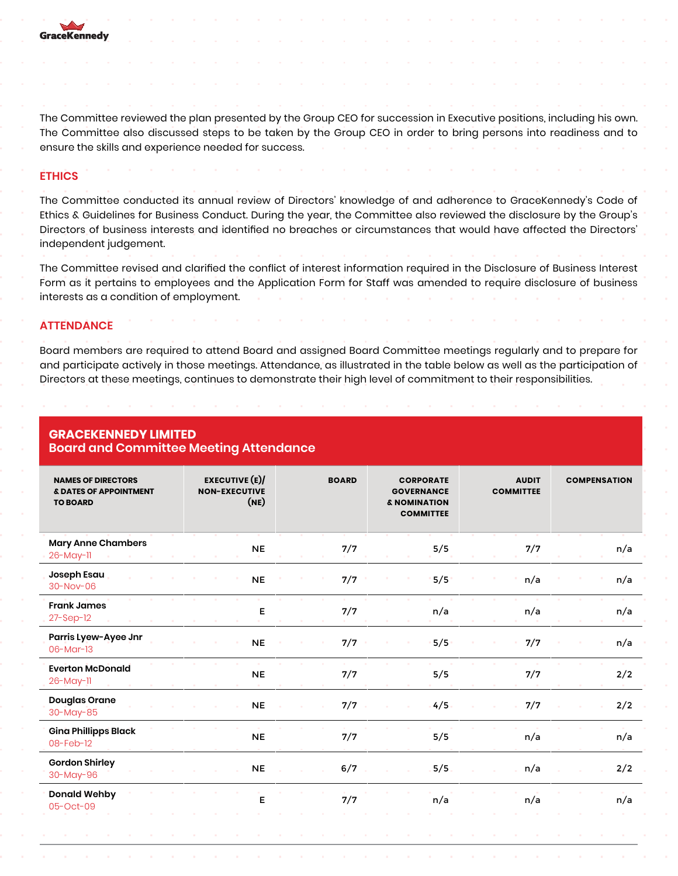

The Committee reviewed the plan presented by the Group CEO for succession in Executive positions, including his own. The Committee also discussed steps to be taken by the Group CEO in order to bring persons into readiness and to ensure the skills and experience needed for success.

## **ETHICS**

The Committee conducted its annual review of Directors' knowledge of and adherence to GraceKennedy's Code of Ethics & Guidelines for Business Conduct. During the year, the Committee also reviewed the disclosure by the Group's Directors of business interests and identified no breaches or circumstances that would have affected the Directors' independent judgement.

The Committee revised and clarified the conflict of interest information required in the Disclosure of Business Interest Form as it pertains to employees and the Application Form for Staff was amended to require disclosure of business interests as a condition of employment.

#### **ATTENDANCE**

Board members are required to attend Board and assigned Board Committee meetings regularly and to prepare for and participate actively in those meetings. Attendance, as illustrated in the table below as well as the participation of Directors at these meetings, continues to demonstrate their high level of commitment to their responsibilities.

| <b>NAMES OF DIRECTORS</b><br>& DATES OF APPOINTMENT<br><b>TO BOARD</b> | <b>EXECUTIVE (E)/</b><br><b>NON-EXECUTIVE</b><br>(NE) | <b>BOARD</b> | <b>CORPORATE</b><br><b>GOVERNANCE</b><br>& NOMINATION<br><b>COMMITTEE</b> | <b>AUDIT</b><br><b>COMMITTEE</b> | <b>COMPENSATION</b> |  |  |  |
|------------------------------------------------------------------------|-------------------------------------------------------|--------------|---------------------------------------------------------------------------|----------------------------------|---------------------|--|--|--|
| <b>Mary Anne Chambers</b><br>26-May-11                                 | <b>NE</b>                                             | 7/7          | 5/5                                                                       | 7/7                              | n/a                 |  |  |  |
| Joseph Esau<br>$30 - Nov - 06$                                         | <b>NE</b>                                             | 7/7          | 5/5                                                                       | n/a                              | n/a                 |  |  |  |
| <b>Frank James</b><br>$27 - Sep-12$                                    | Е                                                     | 7/7          | n/a                                                                       | n/a                              | n/a                 |  |  |  |
| Parris Lyew-Ayee Jnr<br>06-Mar-13                                      | <b>NE</b>                                             | 7/7          | 5/5                                                                       | 7/7                              | n/a                 |  |  |  |
| <b>Everton McDonald</b><br>26-May-11                                   | <b>NE</b>                                             | 7/7          | 5/5                                                                       | 7/7                              | 2/2                 |  |  |  |
| <b>Douglas Orane</b><br>30-May-85                                      | <b>NE</b>                                             | 7/7          | 4/5                                                                       | 7/7                              | 2/2                 |  |  |  |
| <b>Gina Phillipps Black</b><br>08-Feb-12                               | <b>NE</b>                                             | 7/7          | 5/5                                                                       | n/a                              | n/a                 |  |  |  |
| <b>Gordon Shirley</b><br>30-May-96                                     | <b>NE</b>                                             | 6/7<br>n.    | 5/5                                                                       | n/a                              | 2/2                 |  |  |  |
| <b>Donald Wehby</b><br>05-Oct-09                                       | Е                                                     | 7/7          | n/a                                                                       | n/a                              | n/a                 |  |  |  |
|                                                                        |                                                       |              |                                                                           |                                  |                     |  |  |  |

#### **GRACEKENNEDY LIMITED Board and Committee Meeting Attendance**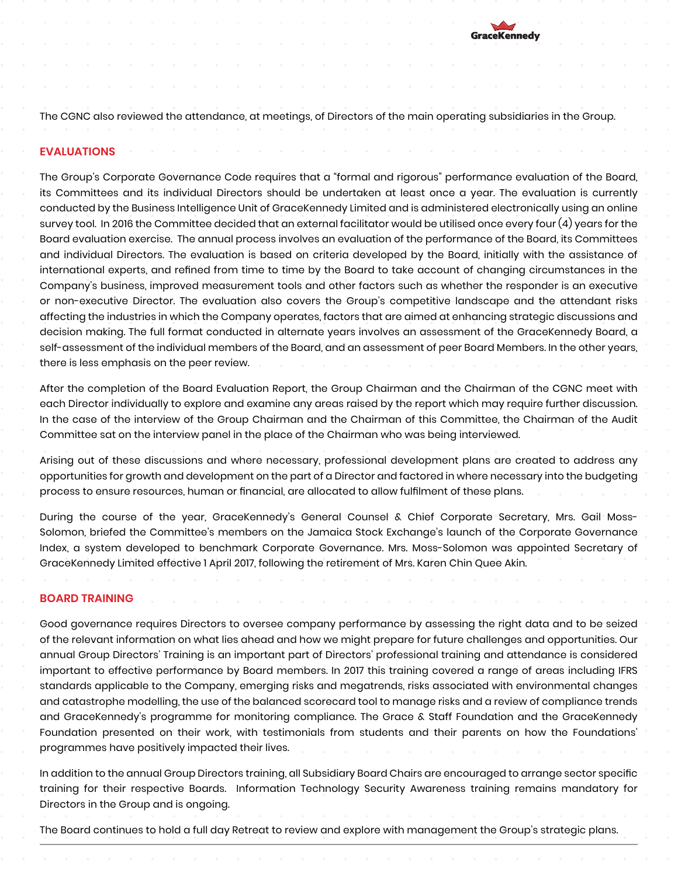

The CGNC also reviewed the attendance, at meetings, of Directors of the main operating subsidiaries in the Group.

#### **EVALUATIONS**

The Group's Corporate Governance Code requires that a "formal and rigorous" performance evaluation of the Board, its Committees and its individual Directors should be undertaken at least once a year. The evaluation is currently conducted by the Business Intelligence Unit of GraceKennedy Limited and is administered electronically using an online survey tool. In 2016 the Committee decided that an external facilitator would be utilised once every four (4) years for the Board evaluation exercise. The annual process involves an evaluation of the performance of the Board, its Committees and individual Directors. The evaluation is based on criteria developed by the Board, initially with the assistance of international experts, and refined from time to time by the Board to take account of changing circumstances in the Company's business, improved measurement tools and other factors such as whether the responder is an executive or non-executive Director. The evaluation also covers the Group's competitive landscape and the attendant risks affecting the industries in which the Company operates, factors that are aimed at enhancing strategic discussions and decision making. The full format conducted in alternate years involves an assessment of the GraceKennedy Board, a self-assessment of the individual members of the Board, and an assessment of peer Board Members. In the other years, there is less emphasis on the peer review.

After the completion of the Board Evaluation Report, the Group Chairman and the Chairman of the CGNC meet with each Director individually to explore and examine any areas raised by the report which may require further discussion. In the case of the interview of the Group Chairman and the Chairman of this Committee, the Chairman of the Audit Committee sat on the interview panel in the place of the Chairman who was being interviewed.

Arising out of these discussions and where necessary, professional development plans are created to address any opportunities for growth and development on the part of a Director and factored in where necessary into the budgeting process to ensure resources, human or financial, are allocated to allow fulfilment of these plans.

During the course of the year, GraceKennedy's General Counsel & Chief Corporate Secretary, Mrs. Gail Moss-Solomon, briefed the Committee's members on the Jamaica Stock Exchange's launch of the Corporate Governance Index, a system developed to benchmark Corporate Governance. Mrs. Moss-Solomon was appointed Secretary of GraceKennedy Limited effective 1 April 2017, following the retirement of Mrs. Karen Chin Quee Akin.

#### **BOARD TRAINING**

Good governance requires Directors to oversee company performance by assessing the right data and to be seized of the relevant information on what lies ahead and how we might prepare for future challenges and opportunities. Our annual Group Directors' Training is an important part of Directors' professional training and attendance is considered important to effective performance by Board members. In 2017 this training covered a range of areas including IFRS standards applicable to the Company, emerging risks and megatrends, risks associated with environmental changes and catastrophe modelling, the use of the balanced scorecard tool to manage risks and a review of compliance trends and GraceKennedy's programme for monitoring compliance. The Grace & Staff Foundation and the GraceKennedy Foundation presented on their work, with testimonials from students and their parents on how the Foundations' programmes have positively impacted their lives.

In addition to the annual Group Directors training, all Subsidiary Board Chairs are encouraged to arrange sector specific training for their respective Boards. Information Technology Security Awareness training remains mandatory for Directors in the Group and is ongoing.

The Board continues to hold a full day Retreat to review and explore with management the Group's strategic plans.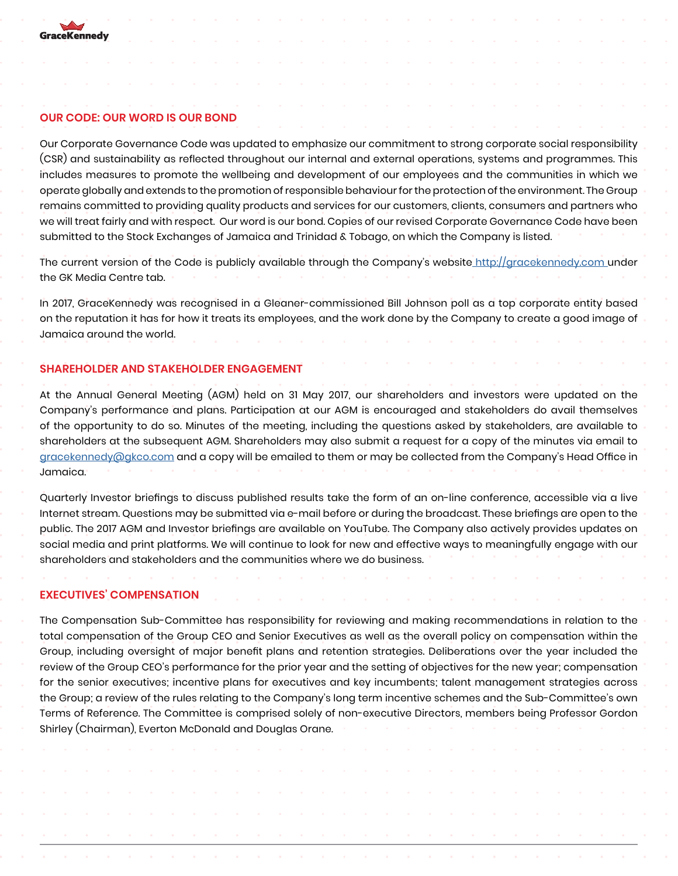

### **OUR CODE: OUR WORD IS OUR BOND**

Our Corporate Governance Code was updated to emphasize our commitment to strong corporate social responsibility (CSR) and sustainability as reflected throughout our internal and external operations, systems and programmes. This includes measures to promote the wellbeing and development of our employees and the communities in which we operate globally and extends to the promotion of responsible behaviour for the protection of the environment. The Group remains committed to providing quality products and services for our customers, clients, consumers and partners who we will treat fairly and with respect. Our word is our bond. Copies of our revised Corporate Governance Code have been submitted to the Stock Exchanges of Jamaica and Trinidad & Tobago, on which the Company is listed.

The current version of the Code is publicly available through the Company's website http://gracekennedy.com under the GK Media Centre tab.

In 2017, GraceKennedy was recognised in a Gleaner-commissioned Bill Johnson poll as a top corporate entity based on the reputation it has for how it treats its employees, and the work done by the Company to create a good image of Jamaica around the world.

## **SHAREHOLDER AND STAKEHOLDER ENGAGEMENT**

At the Annual General Meeting (AGM) held on 31 May 2017, our shareholders and investors were updated on the Company's performance and plans. Participation at our AGM is encouraged and stakeholders do avail themselves of the opportunity to do so. Minutes of the meeting, including the questions asked by stakeholders, are available to shareholders at the subsequent AGM. Shareholders may also submit a request for a copy of the minutes via email to gracekennedy@gkco.com and a copy will be emailed to them or may be collected from the Company's Head Office in Jamaica.

Quarterly Investor briefings to discuss published results take the form of an on-line conference, accessible via a live Internet stream. Questions may be submitted via e-mail before or during the broadcast. These briefings are open to the public. The 2017 AGM and Investor briefings are available on YouTube. The Company also actively provides updates on social media and print platforms. We will continue to look for new and effective ways to meaningfully engage with our shareholders and stakeholders and the communities where we do business.

#### **EXECUTIVES' COMPENSATION**

The Compensation Sub-Committee has responsibility for reviewing and making recommendations in relation to the total compensation of the Group CEO and Senior Executives as well as the overall policy on compensation within the Group, including oversight of major benefit plans and retention strategies. Deliberations over the year included the review of the Group CEO's performance for the prior year and the setting of objectives for the new year; compensation for the senior executives; incentive plans for executives and key incumbents; talent management strategies across the Group; a review of the rules relating to the Company's long term incentive schemes and the Sub-Committee's own Terms of Reference. The Committee is comprised solely of non-executive Directors, members being Professor Gordon Shirley (Chairman), Everton McDonald and Douglas Orane.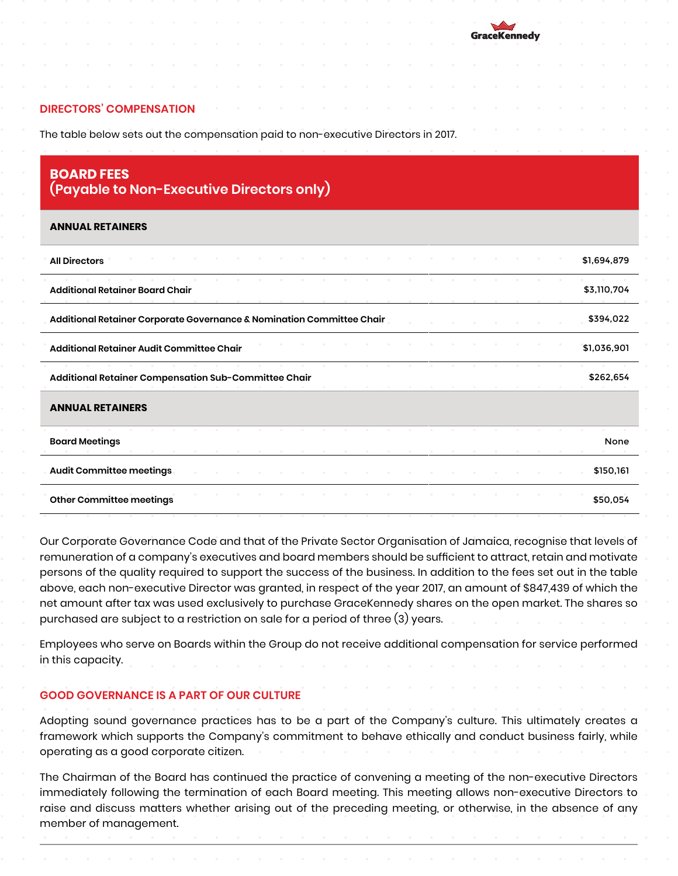#### **DIRECTORS' COMPENSATION**

The table below sets out the compensation paid to non-executive Directors in 2017.

## **BOARD FEES (Payable to Non-Executive Directors only)**

#### **ANNUAL RETAINERS**

| <b>All Directors</b>                                                  |  |  |  |  |  |  |  |  | \$1,694,879 |
|-----------------------------------------------------------------------|--|--|--|--|--|--|--|--|-------------|
| <b>Additional Retainer Board Chair</b>                                |  |  |  |  |  |  |  |  | \$3,110,704 |
| Additional Retainer Corporate Governance & Nomination Committee Chair |  |  |  |  |  |  |  |  | \$394,022   |
| Additional Retainer Audit Committee Chair                             |  |  |  |  |  |  |  |  | \$1,036,901 |
| Additional Retainer Compensation Sub-Committee Chair                  |  |  |  |  |  |  |  |  | \$262,654   |
| <b>ANNUAL RETAINERS</b>                                               |  |  |  |  |  |  |  |  |             |
| <b>Board Meetings</b>                                                 |  |  |  |  |  |  |  |  | <b>None</b> |
| Audit Committee meetings                                              |  |  |  |  |  |  |  |  | \$150,161   |
| Other Committee meetings                                              |  |  |  |  |  |  |  |  | \$50,054    |

Our Corporate Governance Code and that of the Private Sector Organisation of Jamaica, recognise that levels of remuneration of a company's executives and board members should be sufficient to attract, retain and motivate persons of the quality required to support the success of the business. In addition to the fees set out in the table above, each non-executive Director was granted, in respect of the year 2017, an amount of \$847,439 of which the net amount after tax was used exclusively to purchase GraceKennedy shares on the open market. The shares so purchased are subject to a restriction on sale for a period of three (3) years.

Employees who serve on Boards within the Group do not receive additional compensation for service performed in this capacity.

## **GOOD GOVERNANCE IS A PART OF OUR CULTURE**

Adopting sound governance practices has to be a part of the Company's culture. This ultimately creates a framework which supports the Company's commitment to behave ethically and conduct business fairly, while operating as a good corporate citizen.

The Chairman of the Board has continued the practice of convening a meeting of the non-executive Directors immediately following the termination of each Board meeting. This meeting allows non-executive Directors to raise and discuss matters whether arising out of the preceding meeting, or otherwise, in the absence of any member of management.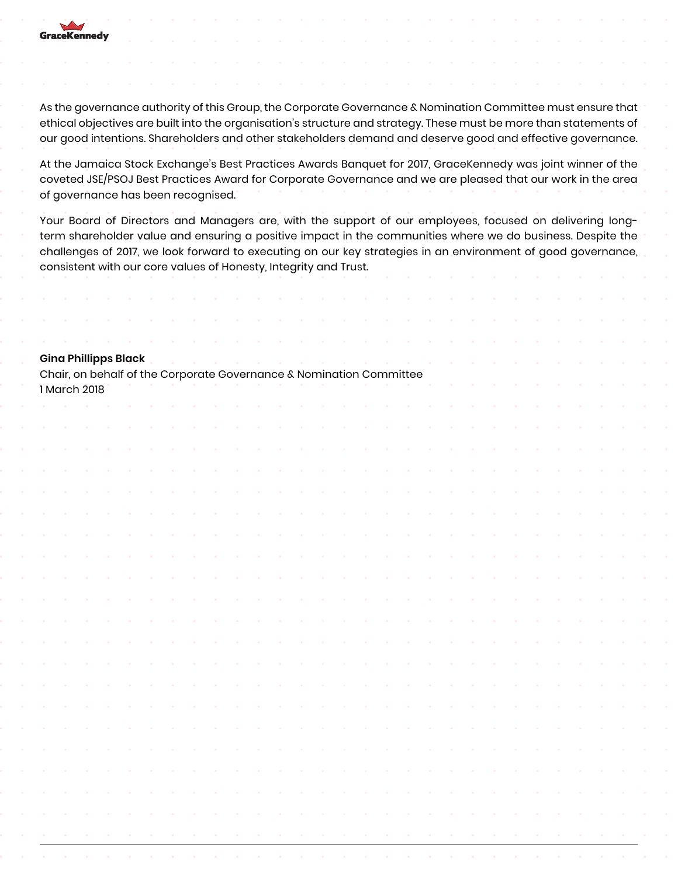

As the governance authority of this Group, the Corporate Governance & Nomination Committee must ensure that ethical objectives are built into the organisation's structure and strategy. These must be more than statements of our good intentions. Shareholders and other stakeholders demand and deserve good and effective governance.

At the Jamaica Stock Exchange's Best Practices Awards Banquet for 2017, GraceKennedy was joint winner of the coveted JSE/PSOJ Best Practices Award for Corporate Governance and we are pleased that our work in the area of governance has been recognised.

Your Board of Directors and Managers are, with the support of our employees, focused on delivering longterm shareholder value and ensuring a positive impact in the communities where we do business. Despite the challenges of 2017, we look forward to executing on our key strategies in an environment of good governance, consistent with our core values of Honesty, Integrity and Trust.

|  |              | <b>Gina Phillipps Black</b> |  |  |  |  | Chair, on behalf of the Corporate Governance & Nomination Committee |  |  |  |  |  |  |  |  |
|--|--------------|-----------------------------|--|--|--|--|---------------------------------------------------------------------|--|--|--|--|--|--|--|--|
|  | 1 March 2018 |                             |  |  |  |  |                                                                     |  |  |  |  |  |  |  |  |
|  |              |                             |  |  |  |  |                                                                     |  |  |  |  |  |  |  |  |
|  |              |                             |  |  |  |  |                                                                     |  |  |  |  |  |  |  |  |
|  |              |                             |  |  |  |  |                                                                     |  |  |  |  |  |  |  |  |
|  |              |                             |  |  |  |  |                                                                     |  |  |  |  |  |  |  |  |
|  |              |                             |  |  |  |  |                                                                     |  |  |  |  |  |  |  |  |
|  |              |                             |  |  |  |  |                                                                     |  |  |  |  |  |  |  |  |
|  |              |                             |  |  |  |  |                                                                     |  |  |  |  |  |  |  |  |
|  |              |                             |  |  |  |  |                                                                     |  |  |  |  |  |  |  |  |
|  |              |                             |  |  |  |  |                                                                     |  |  |  |  |  |  |  |  |
|  |              |                             |  |  |  |  |                                                                     |  |  |  |  |  |  |  |  |
|  |              |                             |  |  |  |  |                                                                     |  |  |  |  |  |  |  |  |
|  |              |                             |  |  |  |  |                                                                     |  |  |  |  |  |  |  |  |
|  |              |                             |  |  |  |  |                                                                     |  |  |  |  |  |  |  |  |
|  |              |                             |  |  |  |  |                                                                     |  |  |  |  |  |  |  |  |
|  |              |                             |  |  |  |  |                                                                     |  |  |  |  |  |  |  |  |
|  |              |                             |  |  |  |  |                                                                     |  |  |  |  |  |  |  |  |
|  |              |                             |  |  |  |  |                                                                     |  |  |  |  |  |  |  |  |
|  |              |                             |  |  |  |  |                                                                     |  |  |  |  |  |  |  |  |
|  |              |                             |  |  |  |  |                                                                     |  |  |  |  |  |  |  |  |
|  |              |                             |  |  |  |  |                                                                     |  |  |  |  |  |  |  |  |
|  |              |                             |  |  |  |  |                                                                     |  |  |  |  |  |  |  |  |
|  |              |                             |  |  |  |  |                                                                     |  |  |  |  |  |  |  |  |
|  |              |                             |  |  |  |  |                                                                     |  |  |  |  |  |  |  |  |
|  |              |                             |  |  |  |  |                                                                     |  |  |  |  |  |  |  |  |